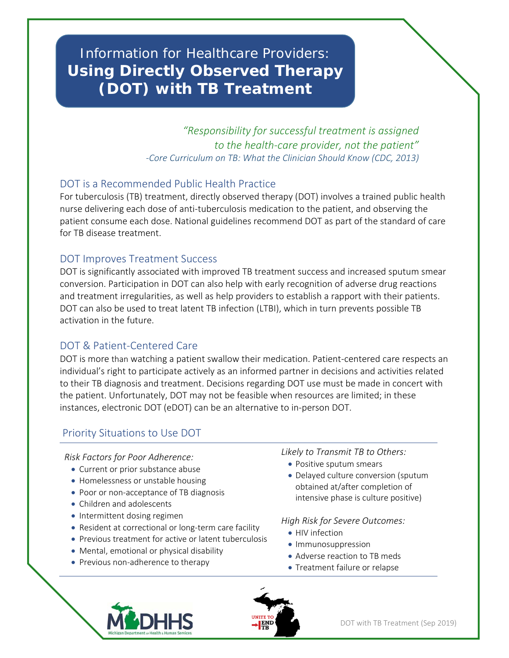# Information for Healthcare Providers: **Using Directly Observed Therapy (DOT) with TB Treatment**

*"Responsibility for successful treatment is assigned to the health-care provider, not the patient" -Core Curriculum on TB: What the Clinician Should Know (CDC, 2013)*

#### DOT is a Recommended Public Health Practice

For tuberculosis (TB) treatment, directly observed therapy (DOT) involves a trained public health nurse delivering each dose of anti-tuberculosis medication to the patient, and observing the patient consume each dose. National guidelines recommend DOT as part of the standard of care for TB disease treatment.

#### DOT Improves Treatment Success

J

DOT is significantly associated with improved TB treatment success and increased sputum smear conversion. Participation in DOT can also help with early recognition of adverse drug reactions and treatment irregularities, as well as help providers to establish a rapport with their patients. DOT can also be used to treat latent TB infection (LTBI), which in turn prevents possible TB activation in the future.

### DOT & Patient-Centered Care

DOT is more than watching a patient swallow their medication. Patient-centered care respects an individual's right to participate actively as an informed partner in decisions and activities related to their TB diagnosis and treatment. Decisions regarding DOT use must be made in concert with the patient. Unfortunately, DOT may not be feasible when resources are limited; in these instances, electronic DOT (eDOT) can be an alternative to in-person DOT.

## Priority Situations to Use DOT

*Risk Factors for Poor Adherence:*

- Current or prior substance abuse
- Homelessness or unstable housing
- Poor or non-acceptance of TB diagnosis
- Children and adolescents
- Intermittent dosing regimen
- Resident at correctional or long-term care facility
- Previous treatment for active or latent tuberculosis
- Mental, emotional or physical disability
- Previous non-adherence to therapy

*Likely to Transmit TB to Others:*

- Positive sputum smears
- Delayed culture conversion (sputum obtained at/after completion of intensive phase is culture positive)

*High Risk for Severe Outcomes:*

- HIV infection
- Immunosuppression
- Adverse reaction to TB meds
- Treatment failure or relapse